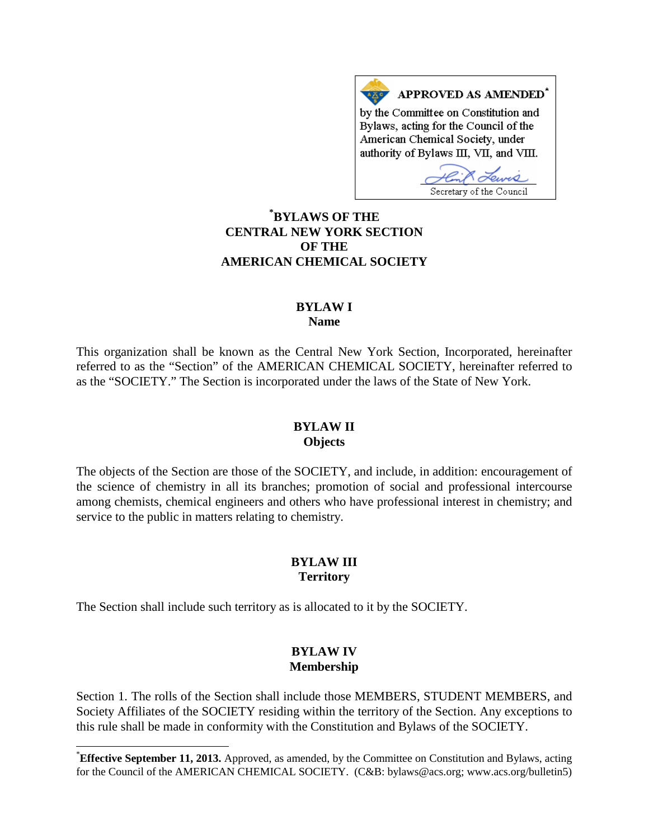APPROVED AS AMENDED<sup>\*</sup> by the Committee on Constitution and Bylaws, acting for the Council of the American Chemical Society, under authority of Bylaws III, VII, and VIII.

Secretary of the Council

# **[\\*](#page-0-0) BYLAWS OF THE CENTRAL NEW YORK SECTION OF THE AMERICAN CHEMICAL SOCIETY**

#### **BYLAW I Name**

This organization shall be known as the Central New York Section, Incorporated, hereinafter referred to as the "Section" of the AMERICAN CHEMICAL SOCIETY, hereinafter referred to as the "SOCIETY." The Section is incorporated under the laws of the State of New York.

#### **BYLAW II Objects**

The objects of the Section are those of the SOCIETY, and include, in addition: encouragement of the science of chemistry in all its branches; promotion of social and professional intercourse among chemists, chemical engineers and others who have professional interest in chemistry; and service to the public in matters relating to chemistry.

# **BYLAW III Territory**

The Section shall include such territory as is allocated to it by the SOCIETY.

## **BYLAW IV Membership**

Section 1. The rolls of the Section shall include those MEMBERS, STUDENT MEMBERS, and Society Affiliates of the SOCIETY residing within the territory of the Section. Any exceptions to this rule shall be made in conformity with the Constitution and Bylaws of the SOCIETY.

<span id="page-0-0"></span><sup>\*</sup>**Effective September 11, 2013.** Approved, as amended, by the Committee on Constitution and Bylaws, acting for the Council of the AMERICAN CHEMICAL SOCIETY. (C&B: bylaws@acs.org; www.acs.org/bulletin5)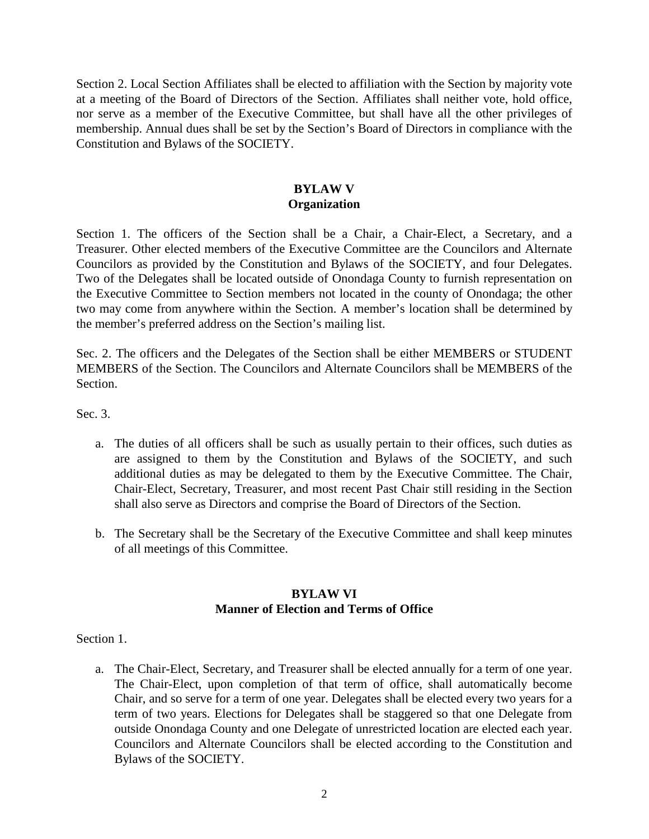Section 2. Local Section Affiliates shall be elected to affiliation with the Section by majority vote at a meeting of the Board of Directors of the Section. Affiliates shall neither vote, hold office, nor serve as a member of the Executive Committee, but shall have all the other privileges of membership. Annual dues shall be set by the Section's Board of Directors in compliance with the Constitution and Bylaws of the SOCIETY.

## **BYLAW V Organization**

Section 1. The officers of the Section shall be a Chair, a Chair-Elect, a Secretary, and a Treasurer. Other elected members of the Executive Committee are the Councilors and Alternate Councilors as provided by the Constitution and Bylaws of the SOCIETY, and four Delegates. Two of the Delegates shall be located outside of Onondaga County to furnish representation on the Executive Committee to Section members not located in the county of Onondaga; the other two may come from anywhere within the Section. A member's location shall be determined by the member's preferred address on the Section's mailing list.

Sec. 2. The officers and the Delegates of the Section shall be either MEMBERS or STUDENT MEMBERS of the Section. The Councilors and Alternate Councilors shall be MEMBERS of the Section.

Sec. 3.

- a. The duties of all officers shall be such as usually pertain to their offices, such duties as are assigned to them by the Constitution and Bylaws of the SOCIETY, and such additional duties as may be delegated to them by the Executive Committee. The Chair, Chair-Elect, Secretary, Treasurer, and most recent Past Chair still residing in the Section shall also serve as Directors and comprise the Board of Directors of the Section.
- b. The Secretary shall be the Secretary of the Executive Committee and shall keep minutes of all meetings of this Committee.

#### **BYLAW VI Manner of Election and Terms of Office**

Section 1.

a. The Chair-Elect, Secretary, and Treasurer shall be elected annually for a term of one year. The Chair-Elect, upon completion of that term of office, shall automatically become Chair, and so serve for a term of one year. Delegates shall be elected every two years for a term of two years. Elections for Delegates shall be staggered so that one Delegate from outside Onondaga County and one Delegate of unrestricted location are elected each year. Councilors and Alternate Councilors shall be elected according to the Constitution and Bylaws of the SOCIETY.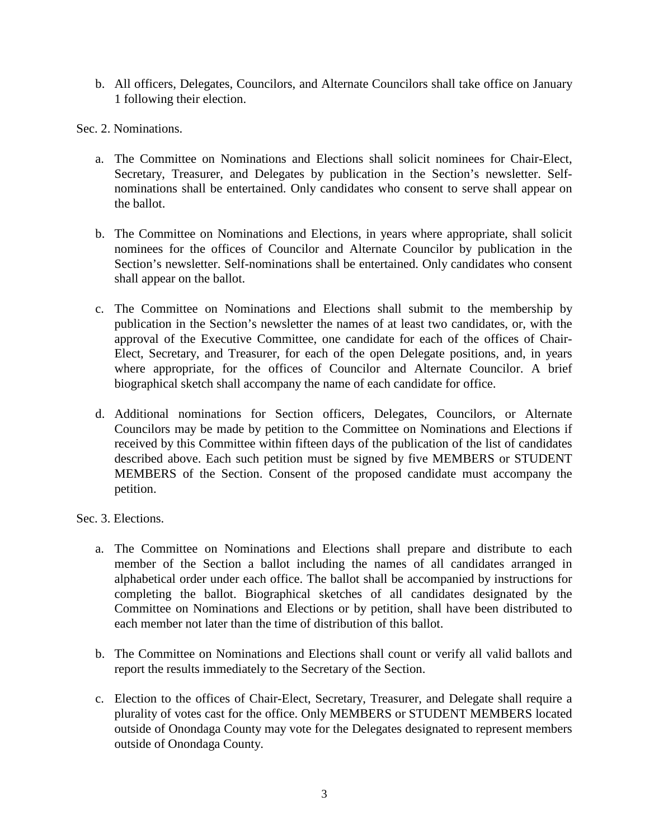b. All officers, Delegates, Councilors, and Alternate Councilors shall take office on January 1 following their election.

Sec. 2. Nominations.

- a. The Committee on Nominations and Elections shall solicit nominees for Chair-Elect, Secretary, Treasurer, and Delegates by publication in the Section's newsletter. Selfnominations shall be entertained. Only candidates who consent to serve shall appear on the ballot.
- b. The Committee on Nominations and Elections, in years where appropriate, shall solicit nominees for the offices of Councilor and Alternate Councilor by publication in the Section's newsletter. Self-nominations shall be entertained. Only candidates who consent shall appear on the ballot.
- c. The Committee on Nominations and Elections shall submit to the membership by publication in the Section's newsletter the names of at least two candidates, or, with the approval of the Executive Committee, one candidate for each of the offices of Chair-Elect, Secretary, and Treasurer, for each of the open Delegate positions, and, in years where appropriate, for the offices of Councilor and Alternate Councilor. A brief biographical sketch shall accompany the name of each candidate for office.
- d. Additional nominations for Section officers, Delegates, Councilors, or Alternate Councilors may be made by petition to the Committee on Nominations and Elections if received by this Committee within fifteen days of the publication of the list of candidates described above. Each such petition must be signed by five MEMBERS or STUDENT MEMBERS of the Section. Consent of the proposed candidate must accompany the petition.

Sec. 3. Elections.

- a. The Committee on Nominations and Elections shall prepare and distribute to each member of the Section a ballot including the names of all candidates arranged in alphabetical order under each office. The ballot shall be accompanied by instructions for completing the ballot. Biographical sketches of all candidates designated by the Committee on Nominations and Elections or by petition, shall have been distributed to each member not later than the time of distribution of this ballot.
- b. The Committee on Nominations and Elections shall count or verify all valid ballots and report the results immediately to the Secretary of the Section.
- c. Election to the offices of Chair-Elect, Secretary, Treasurer, and Delegate shall require a plurality of votes cast for the office. Only MEMBERS or STUDENT MEMBERS located outside of Onondaga County may vote for the Delegates designated to represent members outside of Onondaga County.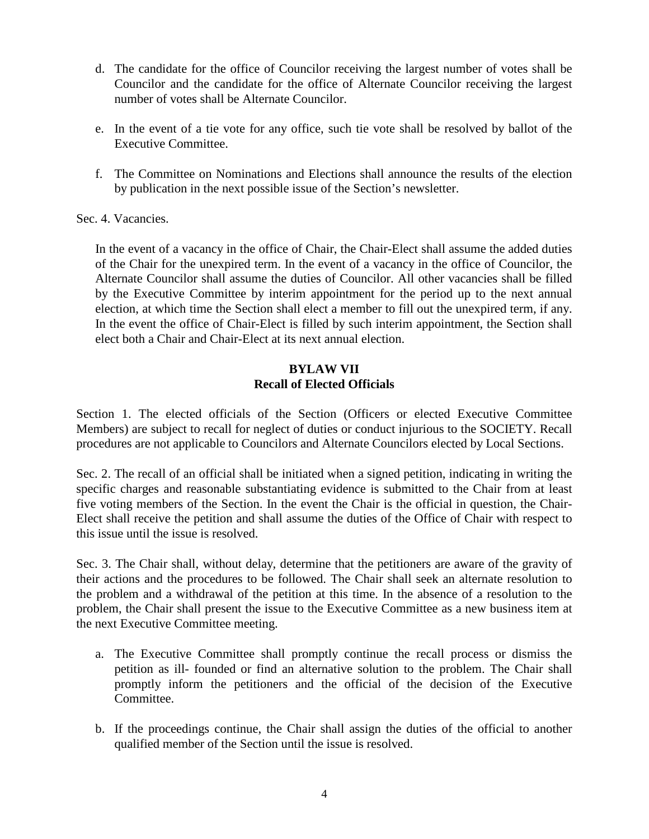- d. The candidate for the office of Councilor receiving the largest number of votes shall be Councilor and the candidate for the office of Alternate Councilor receiving the largest number of votes shall be Alternate Councilor.
- e. In the event of a tie vote for any office, such tie vote shall be resolved by ballot of the Executive Committee.
- f. The Committee on Nominations and Elections shall announce the results of the election by publication in the next possible issue of the Section's newsletter.

#### Sec. 4. Vacancies.

In the event of a vacancy in the office of Chair, the Chair-Elect shall assume the added duties of the Chair for the unexpired term. In the event of a vacancy in the office of Councilor, the Alternate Councilor shall assume the duties of Councilor. All other vacancies shall be filled by the Executive Committee by interim appointment for the period up to the next annual election, at which time the Section shall elect a member to fill out the unexpired term, if any. In the event the office of Chair-Elect is filled by such interim appointment, the Section shall elect both a Chair and Chair-Elect at its next annual election.

### **BYLAW VII Recall of Elected Officials**

Section 1. The elected officials of the Section (Officers or elected Executive Committee Members) are subject to recall for neglect of duties or conduct injurious to the SOCIETY. Recall procedures are not applicable to Councilors and Alternate Councilors elected by Local Sections.

Sec. 2. The recall of an official shall be initiated when a signed petition, indicating in writing the specific charges and reasonable substantiating evidence is submitted to the Chair from at least five voting members of the Section. In the event the Chair is the official in question, the Chair-Elect shall receive the petition and shall assume the duties of the Office of Chair with respect to this issue until the issue is resolved.

Sec. 3. The Chair shall, without delay, determine that the petitioners are aware of the gravity of their actions and the procedures to be followed. The Chair shall seek an alternate resolution to the problem and a withdrawal of the petition at this time. In the absence of a resolution to the problem, the Chair shall present the issue to the Executive Committee as a new business item at the next Executive Committee meeting.

- a. The Executive Committee shall promptly continue the recall process or dismiss the petition as ill- founded or find an alternative solution to the problem. The Chair shall promptly inform the petitioners and the official of the decision of the Executive Committee.
- b. If the proceedings continue, the Chair shall assign the duties of the official to another qualified member of the Section until the issue is resolved.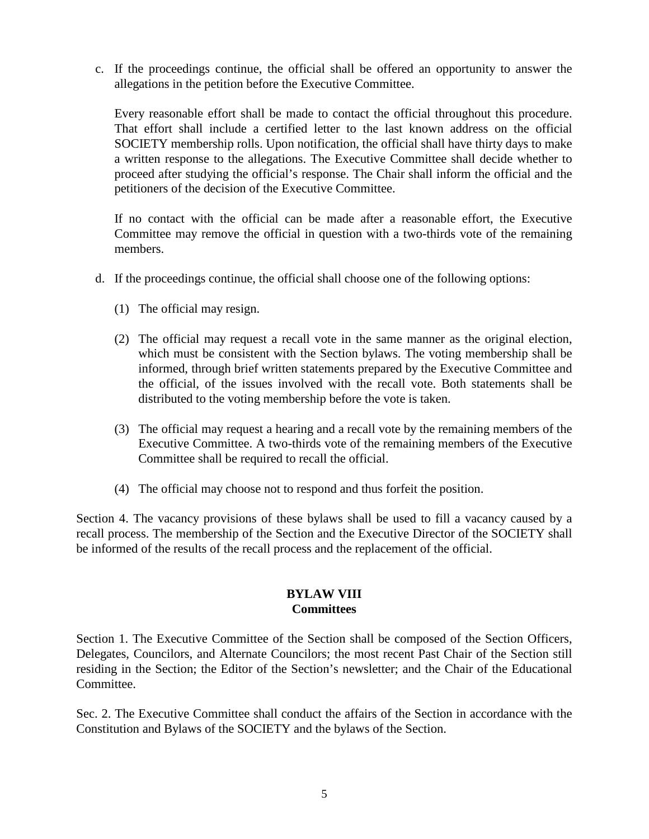c. If the proceedings continue, the official shall be offered an opportunity to answer the allegations in the petition before the Executive Committee.

Every reasonable effort shall be made to contact the official throughout this procedure. That effort shall include a certified letter to the last known address on the official SOCIETY membership rolls. Upon notification, the official shall have thirty days to make a written response to the allegations. The Executive Committee shall decide whether to proceed after studying the official's response. The Chair shall inform the official and the petitioners of the decision of the Executive Committee.

If no contact with the official can be made after a reasonable effort, the Executive Committee may remove the official in question with a two-thirds vote of the remaining members.

- d. If the proceedings continue, the official shall choose one of the following options:
	- (1) The official may resign.
	- (2) The official may request a recall vote in the same manner as the original election, which must be consistent with the Section bylaws. The voting membership shall be informed, through brief written statements prepared by the Executive Committee and the official, of the issues involved with the recall vote. Both statements shall be distributed to the voting membership before the vote is taken.
	- (3) The official may request a hearing and a recall vote by the remaining members of the Executive Committee. A two-thirds vote of the remaining members of the Executive Committee shall be required to recall the official.
	- (4) The official may choose not to respond and thus forfeit the position.

Section 4. The vacancy provisions of these bylaws shall be used to fill a vacancy caused by a recall process. The membership of the Section and the Executive Director of the SOCIETY shall be informed of the results of the recall process and the replacement of the official.

## **BYLAW VIII Committees**

Section 1. The Executive Committee of the Section shall be composed of the Section Officers, Delegates, Councilors, and Alternate Councilors; the most recent Past Chair of the Section still residing in the Section; the Editor of the Section's newsletter; and the Chair of the Educational Committee.

Sec. 2. The Executive Committee shall conduct the affairs of the Section in accordance with the Constitution and Bylaws of the SOCIETY and the bylaws of the Section.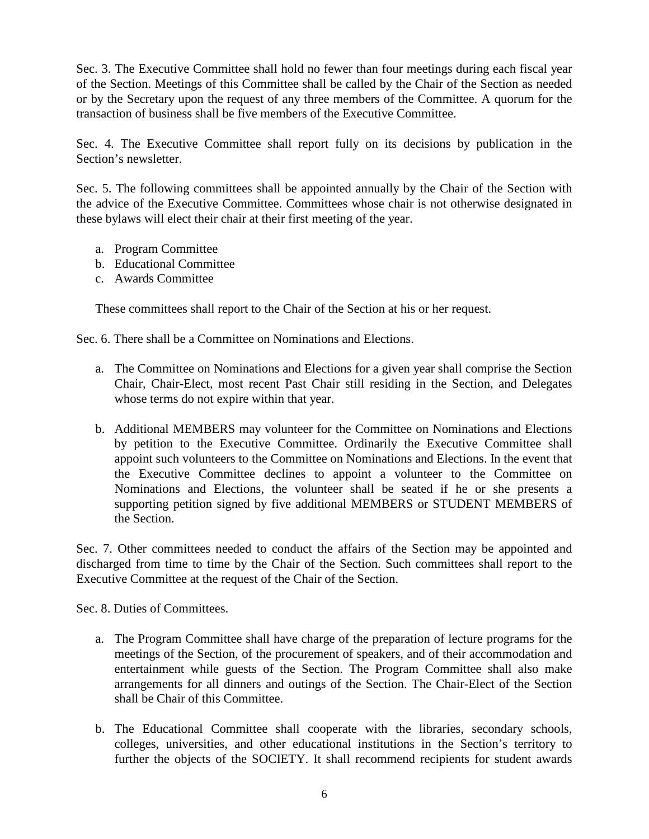Sec. 3. The Executive Committee shall hold no fewer than four meetings during each fiscal year of the Section. Meetings of this Committee shall be called by the Chair of the Section as needed or by the Secretary upon the request of any three members of the Committee. A quorum for the transaction of business shall be five members of the Executive Committee.

Sec. 4. The Executive Committee shall report fully on its decisions by publication in the Section's newsletter.

Sec. 5. The following committees shall be appointed annually by the Chair of the Section with the advice of the Executive Committee. Committees whose chair is not otherwise designated in these bylaws will elect their chair at their first meeting of the year.

- a. Program Committee
- b. Educational Committee
- c. Awards Committee

These committees shall report to the Chair of the Section at his or her request.

Sec. 6. There shall be a Committee on Nominations and Elections.

- a. The Committee on Nominations and Elections for a given year shall comprise the Section Chair, Chair-Elect, most recent Past Chair still residing in the Section, and Delegates whose terms do not expire within that year.
- b. Additional MEMBERS may volunteer for the Committee on Nominations and Elections by petition to the Executive Committee. Ordinarily the Executive Committee shall appoint such volunteers to the Committee on Nominations and Elections. In the event that the Executive Committee declines to appoint a volunteer to the Committee on Nominations and Elections, the volunteer shall be seated if he or she presents a supporting petition signed by five additional MEMBERS or STUDENT MEMBERS of the Section.

Sec. 7. Other committees needed to conduct the affairs of the Section may be appointed and discharged from time to time by the Chair of the Section. Such committees shall report to the Executive Committee at the request of the Chair of the Section.

Sec. 8. Duties of Committees.

- a. The Program Committee shall have charge of the preparation of lecture programs for the meetings of the Section, of the procurement of speakers, and of their accommodation and entertainment while guests of the Section. The Program Committee shall also make arrangements for all dinners and outings of the Section. The Chair-Elect of the Section shall be Chair of this Committee.
- b. The Educational Committee shall cooperate with the libraries, secondary schools, colleges, universities, and other educational institutions in the Section's territory to further the objects of the SOCIETY. It shall recommend recipients for student awards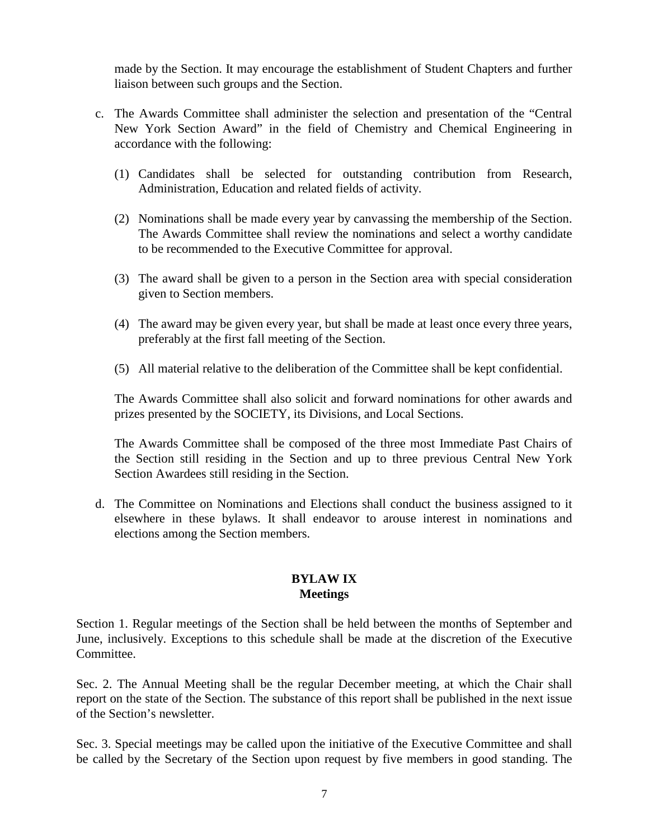made by the Section. It may encourage the establishment of Student Chapters and further liaison between such groups and the Section.

- c. The Awards Committee shall administer the selection and presentation of the "Central New York Section Award" in the field of Chemistry and Chemical Engineering in accordance with the following:
	- (1) Candidates shall be selected for outstanding contribution from Research, Administration, Education and related fields of activity.
	- (2) Nominations shall be made every year by canvassing the membership of the Section. The Awards Committee shall review the nominations and select a worthy candidate to be recommended to the Executive Committee for approval.
	- (3) The award shall be given to a person in the Section area with special consideration given to Section members.
	- (4) The award may be given every year, but shall be made at least once every three years, preferably at the first fall meeting of the Section.
	- (5) All material relative to the deliberation of the Committee shall be kept confidential.

The Awards Committee shall also solicit and forward nominations for other awards and prizes presented by the SOCIETY, its Divisions, and Local Sections.

The Awards Committee shall be composed of the three most Immediate Past Chairs of the Section still residing in the Section and up to three previous Central New York Section Awardees still residing in the Section.

d. The Committee on Nominations and Elections shall conduct the business assigned to it elsewhere in these bylaws. It shall endeavor to arouse interest in nominations and elections among the Section members.

# **BYLAW IX Meetings**

Section 1. Regular meetings of the Section shall be held between the months of September and June, inclusively. Exceptions to this schedule shall be made at the discretion of the Executive Committee.

Sec. 2. The Annual Meeting shall be the regular December meeting, at which the Chair shall report on the state of the Section. The substance of this report shall be published in the next issue of the Section's newsletter.

Sec. 3. Special meetings may be called upon the initiative of the Executive Committee and shall be called by the Secretary of the Section upon request by five members in good standing. The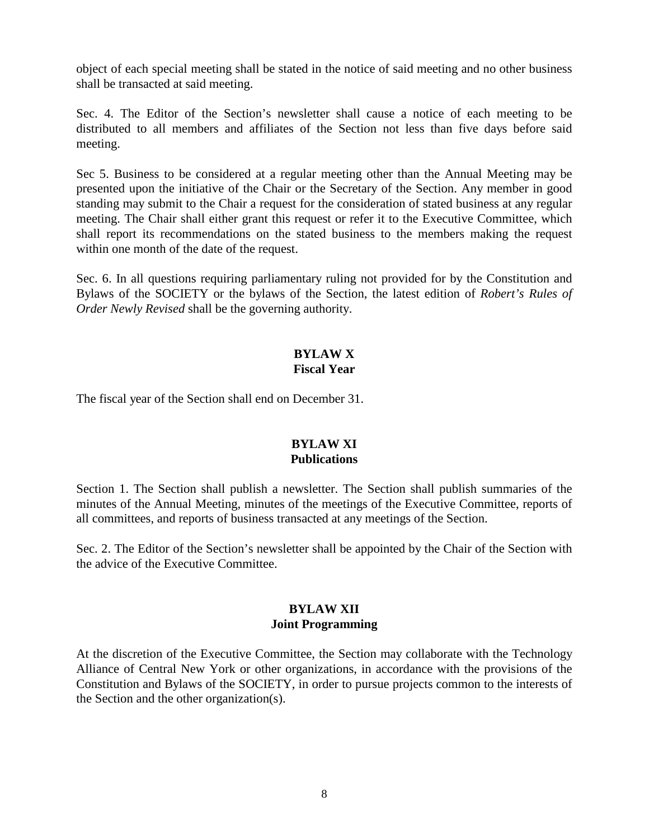object of each special meeting shall be stated in the notice of said meeting and no other business shall be transacted at said meeting.

Sec. 4. The Editor of the Section's newsletter shall cause a notice of each meeting to be distributed to all members and affiliates of the Section not less than five days before said meeting.

Sec 5. Business to be considered at a regular meeting other than the Annual Meeting may be presented upon the initiative of the Chair or the Secretary of the Section. Any member in good standing may submit to the Chair a request for the consideration of stated business at any regular meeting. The Chair shall either grant this request or refer it to the Executive Committee, which shall report its recommendations on the stated business to the members making the request within one month of the date of the request.

Sec. 6. In all questions requiring parliamentary ruling not provided for by the Constitution and Bylaws of the SOCIETY or the bylaws of the Section, the latest edition of *Robert's Rules of Order Newly Revised* shall be the governing authority.

### **BYLAW X Fiscal Year**

The fiscal year of the Section shall end on December 31.

## **BYLAW XI Publications**

Section 1. The Section shall publish a newsletter. The Section shall publish summaries of the minutes of the Annual Meeting, minutes of the meetings of the Executive Committee, reports of all committees, and reports of business transacted at any meetings of the Section.

Sec. 2. The Editor of the Section's newsletter shall be appointed by the Chair of the Section with the advice of the Executive Committee.

#### **BYLAW XII Joint Programming**

At the discretion of the Executive Committee, the Section may collaborate with the Technology Alliance of Central New York or other organizations, in accordance with the provisions of the Constitution and Bylaws of the SOCIETY, in order to pursue projects common to the interests of the Section and the other organization(s).